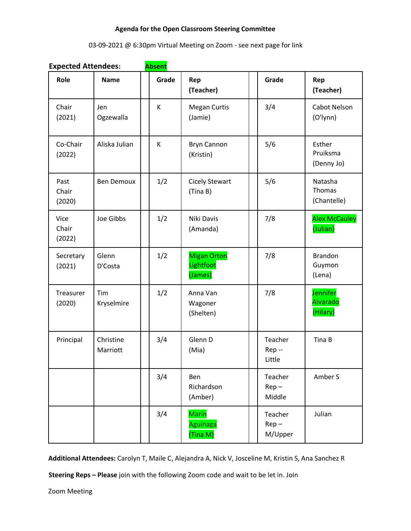#### **Agenda for the Open Classroom Steering Committee**

# 03-09-2021 @ 6:30pm Virtual Meeting on Zoom - see next page for link

| Role                    | <b>Name</b>           | Grade | Rep<br>(Teacher)                           | Grade                         | Rep<br>(Teacher)                        |
|-------------------------|-----------------------|-------|--------------------------------------------|-------------------------------|-----------------------------------------|
| Chair<br>(2021)         | Jen<br>Ogzewalla      | K     | <b>Megan Curtis</b><br>(Jamie)             | 3/4                           | Cabot Nelson<br>(O'lynn)                |
| Co-Chair<br>(2022)      | Aliska Julian         | K     | <b>Bryn Cannon</b><br>(Kristin)            | 5/6                           | Esther<br>Pruiksma<br>(Denny Jo)        |
| Past<br>Chair<br>(2020) | <b>Ben Demoux</b>     | 1/2   | <b>Cicely Stewart</b><br>(Tina B)          | 5/6                           | Natasha<br>Thomas<br>(Chantelle)        |
| Vice<br>Chair<br>(2022) | Joe Gibbs             | 1/2   | Niki Davis<br>(Amanda)                     | 7/8                           | <b>Alex McCauley</b><br>(Julian)        |
| Secretary<br>(2021)     | Glenn<br>D'Costa      | 1/2   | <b>Migan Orton</b><br>Lightfoot<br>(James) | 7/8                           | <b>Brandon</b><br>Guymon<br>(Lena)      |
| Treasurer<br>(2020)     | Tim<br>Kryselmire     | 1/2   | Anna Van<br>Wagoner<br>(Shelten)           | 7/8                           | Jennifer<br><b>Alvarado</b><br>(Hilary) |
| Principal               | Christine<br>Marriott | 3/4   | Glenn D<br>(Mia)                           | Teacher<br>Rep-<br>Little     | Tina B                                  |
|                         |                       | 3/4   | Ben<br>Richardson<br>(Amber)               | Teacher<br>$Rep -$<br>Middle  | Amber S                                 |
|                         |                       | 3/4   | Marin<br>Aguinaga<br>(Tina M)              | Teacher<br>$Rep -$<br>M/Upper | Julian                                  |

**Expected Attendees: Absent**

**Additional Attendees:** Carolyn T, Maile C, Alejandra A, Nick V, Josceline M, Kristin S, Ana Sanchez R

**Steering Reps – Please** join with the following Zoom code and wait to be let in. Join

Zoom Meeting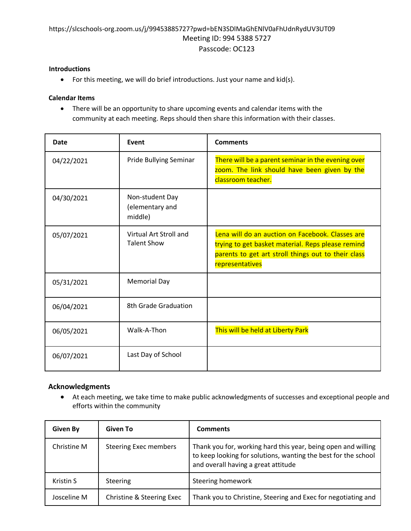# https://slcschools-org.zoom.us/j/99453885727?pwd=bEN3SDlMaGhENlV0aFhUdnRydUV3UT09 Meeting ID: 994 5388 5727 Passcode: OC123

#### **Introductions**

• For this meeting, we will do brief introductions. Just your name and kid(s).

### **Calendar Items**

• There will be an opportunity to share upcoming events and calendar items with the community at each meeting. Reps should then share this information with their classes.

| <b>Date</b> | <b>Event</b>                                  | <b>Comments</b>                                                                                                                                                                 |
|-------------|-----------------------------------------------|---------------------------------------------------------------------------------------------------------------------------------------------------------------------------------|
| 04/22/2021  | Pride Bullying Seminar                        | There will be a parent seminar in the evening over<br>zoom. The link should have been given by the<br>classroom teacher.                                                        |
| 04/30/2021  | Non-student Day<br>(elementary and<br>middle) |                                                                                                                                                                                 |
| 05/07/2021  | Virtual Art Stroll and<br><b>Talent Show</b>  | Lena will do an auction on Facebook. Classes are<br>trying to get basket material. Reps please remind<br>parents to get art stroll things out to their class<br>representatives |
| 05/31/2021  | <b>Memorial Day</b>                           |                                                                                                                                                                                 |
| 06/04/2021  | 8th Grade Graduation                          |                                                                                                                                                                                 |
| 06/05/2021  | Walk-A-Thon                                   | This will be held at Liberty Park                                                                                                                                               |
| 06/07/2021  | Last Day of School                            |                                                                                                                                                                                 |

### **Acknowledgments**

• At each meeting, we take time to make public acknowledgments of successes and exceptional people and efforts within the community

| <b>Given By</b>  | Given To                     | <b>Comments</b>                                                                                                                                                        |
|------------------|------------------------------|------------------------------------------------------------------------------------------------------------------------------------------------------------------------|
| Christine M      | <b>Steering Exec members</b> | Thank you for, working hard this year, being open and willing<br>to keep looking for solutions, wanting the best for the school<br>and overall having a great attitude |
| <b>Kristin S</b> | Steering                     | Steering homework                                                                                                                                                      |
| Josceline M      | Christine & Steering Exec    | Thank you to Christine, Steering and Exec for negotiating and                                                                                                          |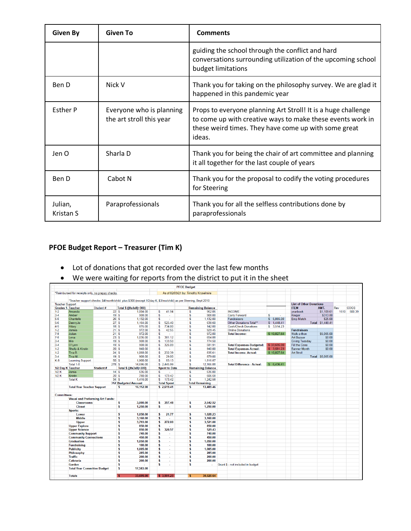| <b>Given By</b>      | <b>Given To</b>                                      | <b>Comments</b>                                                                                                                                                                               |  |  |
|----------------------|------------------------------------------------------|-----------------------------------------------------------------------------------------------------------------------------------------------------------------------------------------------|--|--|
|                      |                                                      | guiding the school through the conflict and hard<br>conversations surrounding utilization of the upcoming school<br>budget limitations                                                        |  |  |
| Ben D                | Nick V                                               | Thank you for taking on the philosophy survey. We are glad it<br>happened in this pandemic year                                                                                               |  |  |
| <b>Esther P</b>      | Everyone who is planning<br>the art stroll this year | Props to everyone planning Art Stroll! It is a huge challenge<br>to come up with creative ways to make these events work in<br>these weird times. They have come up with some great<br>ideas. |  |  |
| Jen O                | Sharla D                                             | Thank you for being the chair of art committee and planning<br>it all together for the last couple of years                                                                                   |  |  |
| Ben D                | Cabot N                                              | Thank you for the proposal to codify the voting procedures<br>for Steering                                                                                                                    |  |  |
| Julian,<br>Kristan S | Paraprofessionals                                    | Thank you for all the selfless contributions done by<br>paraprofessionals                                                                                                                     |  |  |

# **PFOE Budget Report – Treasurer (Tim K)**

- Lot of donations that got recorded over the last few months
- We were waiting for reports from the district to put it in the sheet

| <b>PFOE Budget</b>     |                                                  |           |                                                                                                                |                                  |                                       |                                   |             |                                |                  |      |             |
|------------------------|--------------------------------------------------|-----------|----------------------------------------------------------------------------------------------------------------|----------------------------------|---------------------------------------|-----------------------------------|-------------|--------------------------------|------------------|------|-------------|
|                        | *Reimbursed for receipts only, no prepay checks. |           |                                                                                                                |                                  | As of 02/09/21 by: Timothy Kryselmire |                                   |             |                                |                  |      |             |
|                        |                                                  |           |                                                                                                                |                                  |                                       |                                   |             |                                |                  |      |             |
| <b>Teacher Support</b> |                                                  |           | *Teacher support checks: \$4/month/child plus \$300 (except 1/2day K, \$3/mo/child) as per Steering, Sept 2010 |                                  |                                       |                                   |             | <b>List of Other Donations</b> |                  |      |             |
|                        | <b>Grades 1- Teacher</b>                         | Student # | Total \$ ((#x4x8)+300)                                                                                         |                                  | <b>Remaining Balance</b>              |                                   |             | <b>ITEM</b>                    | AMT.             | Rev  | <b>COGS</b> |
| $1-2$                  | Amanda                                           |           | 22S<br>1,004.00                                                                                                | s<br>41.94                       | $\overline{\mathbf{s}}$<br>962.06     | <b>INCOME</b>                     |             | vearbook                       | \$1,109.61       | 1610 | 500.39      |
| $3 - 4$                | Amber                                            |           | 19S<br>908.00                                                                                                  | \$<br>×.                         | s<br>908.00                           | Carry Forward                     | s<br>×.     | Kroger                         | \$313.80         |      |             |
| $5 - 6$                | Chantelle                                        |           | 26S<br>1,132.00                                                                                                | s<br>$\mathcal{L}^{\mathcal{A}}$ | s<br>1,132.00                         | <b>Fundraisers</b>                | \$5,065.00  | <b>Emp Match</b>               | \$25.00          |      |             |
| $5-6$                  | DennyJo                                          |           | 27S<br>1.164.00                                                                                                | 525.40<br>\$                     | s<br>638.60                           | Other Donations Total**           | \$1,448.41  |                                | Total \$1,448.41 |      |             |
| $4 - 5$                | Hilary                                           |           | 18S<br>876.00                                                                                                  | $\mathfrak{s}$<br>734.00         | s<br>142.00                           | <b>Cash/Check Donations</b>       | \$ 3.514.23 |                                |                  |      |             |
| $1 - 2$                | James                                            |           | 21S<br>972.00                                                                                                  | 42.55<br>S                       | s<br>929.45                           | <b>Online Donations</b>           |             | <b>Fundraisers</b>             |                  |      |             |
| $7 - 8$                | Julian                                           |           | 972.00<br>21S                                                                                                  | \$<br>×.                         | s<br>972.00                           | <b>Total income:</b>              | \$10,027.64 | Walk-a-thon                    | \$5,065.00       |      |             |
| $7 - 8$                | Lena                                             |           | 23S<br>1.036.00                                                                                                | 381.12<br>S                      | 654.88<br>s                           |                                   |             | <b>Art Bazaar</b>              | \$0.00           |      |             |
| $3 - 4$                | Mia                                              |           | 19S<br>908.00                                                                                                  | 133.50<br>S                      | s<br>774.50                           |                                   |             | <b>Giving Tuesday</b>          | \$0.00           |      |             |
| $3 - 4$                | O'Lynn                                           |           | 19S<br>908.00                                                                                                  | \$<br>326.09                     | s<br>581.91                           | <b>Total Expenses-Budgeted:</b>   | \$33.695.00 | <b>Fill the Cone</b>           | \$0.00           |      |             |
| $1 - 2$                | <b>Shelly &amp; Kirstin</b>                      |           | 20S<br>940.00                                                                                                  | s<br>a.                          | s<br>940.00                           | <b>Total Expenses-Actual:</b>     | \$3.591.23  | <b>Banner Month</b>            | \$0.00           |      |             |
| $1 - 2$                | Tina B.                                          |           | 24S<br>1,068.00                                                                                                | 232.39<br>\$                     | s<br>835.61                           | <b>Total Income-Actual:</b>       | \$10,027.64 | <b>Art Stroll</b>              |                  |      |             |
| $3 - 4$                | Tina M.                                          |           | 19S<br>908.00                                                                                                  | 29.00<br>S                       | s<br>879.00                           |                                   |             |                                | Total \$5,065.00 |      |             |
| $K-8$                  | <b>Learning Support</b>                          |           | 50S<br>1.900.00                                                                                                | 83.13<br>\$                      | s<br>1.816.87                         |                                   |             |                                |                  |      |             |
|                        | Total 1-8                                        | 278S      | 14.696.00                                                                                                      | \$2.445.99                       | s<br>12.166.88                        | <b>Total Difference - Actual:</b> | \$6.436.41  |                                |                  |      |             |
|                        | 1/2 Day K Teacher                                | Student#  | Total \$ ((#x3x8)+300)                                                                                         | <b>Spent to Date</b>             | <b>Remaining Balance</b>              |                                   |             |                                |                  |      |             |
| $1/2$ K                | Jamie                                            |           | 14S<br>636.00                                                                                                  | \$.<br>$\sim$                    | s<br>636.00                           |                                   |             |                                |                  |      |             |
| 1/2K                   | Kristin                                          |           | 780.00<br>20S                                                                                                  | 173.42<br>S                      | 606.58<br>s                           |                                   |             |                                |                  |      |             |
|                        | <b>Total K</b>                                   |           | 34S<br>1.416.00                                                                                                | \$ 173.42                        | 1.242.58<br>s                         |                                   |             |                                |                  |      |             |
|                        |                                                  |           | <b>312 Budgeted Amount</b>                                                                                     | <b>Total Spent</b>               | <b>Total Remaining</b>                |                                   |             |                                |                  |      |             |
|                        | <b>Total Year Teacher Support</b>                |           | s<br>16,112.00                                                                                                 | \$2,619.41                       | <b>s</b><br>13,409.46                 |                                   |             |                                |                  |      |             |
|                        |                                                  |           |                                                                                                                |                                  |                                       |                                   |             |                                |                  |      |             |
| <b>Committees:</b>     |                                                  |           |                                                                                                                |                                  |                                       |                                   |             |                                |                  |      |             |
|                        | <b>Visual and Preforming Art Funds:</b>          |           |                                                                                                                |                                  |                                       |                                   |             |                                |                  |      |             |
|                        | <b>Classrooms</b>                                |           | 3,000.00<br>s                                                                                                  | 357.48<br>s                      | 2.642.52<br>s                         |                                   |             |                                |                  |      |             |
|                        | <b>Closet</b>                                    |           | s<br>1.250.00                                                                                                  | s<br>÷                           | s<br>1.250.00                         |                                   |             |                                |                  |      |             |
|                        | Sports:                                          |           |                                                                                                                |                                  |                                       |                                   |             |                                |                  |      |             |
|                        | Lower                                            |           | s<br>1.050.00                                                                                                  | s<br>21.77                       | s<br>1.028.23                         |                                   |             |                                |                  |      |             |
|                        | <b>Middle</b>                                    |           | s<br>3,160.00                                                                                                  | s                                | 3,160.00<br>s                         |                                   |             |                                |                  |      |             |
|                        | <b>Upper</b>                                     |           | s<br>3.793.00                                                                                                  | 272.00<br>\$                     | 3.521.00<br>s                         |                                   |             |                                |                  |      |             |
|                        | <b>Upper Explore</b>                             |           | s<br>850.00                                                                                                    | s                                | 850.00<br>s                           |                                   |             |                                |                  |      |             |
|                        | <b>Upper Science</b>                             |           | s<br>850.00                                                                                                    | 320.57<br>\$                     | s<br>529.43                           |                                   |             |                                |                  |      |             |
|                        | <b>Community Support</b>                         |           | s<br>740.00                                                                                                    | s                                | s<br>740.00                           |                                   |             |                                |                  |      |             |
|                        | <b>Community Connections</b>                     |           | s<br>450.00                                                                                                    | s<br>$\sim$                      | s<br>450.00                           |                                   |             |                                |                  |      |             |
|                        | <b>Graduation</b>                                |           | s<br>1,050.00                                                                                                  | s                                | s<br>1,050.00                         |                                   |             |                                |                  |      |             |
|                        |                                                  |           | s                                                                                                              | s                                | s<br>100.00                           |                                   |             |                                |                  |      |             |
|                        | <b>Fundraising</b>                               |           | 100.00                                                                                                         | s                                |                                       |                                   |             |                                |                  |      |             |
|                        | <b>Publicity</b>                                 |           | s<br>1,005.00                                                                                                  |                                  | s<br>1.005.00                         |                                   |             |                                |                  |      |             |
|                        | Philosophy                                       |           | s<br>285.00                                                                                                    | s                                | s<br>285.00                           |                                   |             |                                |                  |      |             |
|                        | <b>Traffic</b>                                   |           | s<br>200.00                                                                                                    | s                                | s<br>200.00                           |                                   |             |                                |                  |      |             |
|                        | Cafeteria                                        |           | s<br>200.00                                                                                                    | s<br>$\sim$                      | s<br>200.00                           |                                   |             |                                |                  |      |             |
|                        | Garden                                           |           | \$                                                                                                             | \$                               | s<br>s.                               | Grant \$ - not included in budget |             |                                |                  |      |             |
|                        | <b>Total Year Committee Budget</b>               |           | s<br>17,583.00                                                                                                 |                                  |                                       |                                   |             |                                |                  |      |             |
|                        | <b>Totals</b>                                    |           | 33,695.00<br>÷                                                                                                 | \$3,591.23                       | 30.020.64<br>s                        |                                   |             |                                |                  |      |             |
|                        |                                                  |           |                                                                                                                |                                  |                                       |                                   |             |                                |                  |      |             |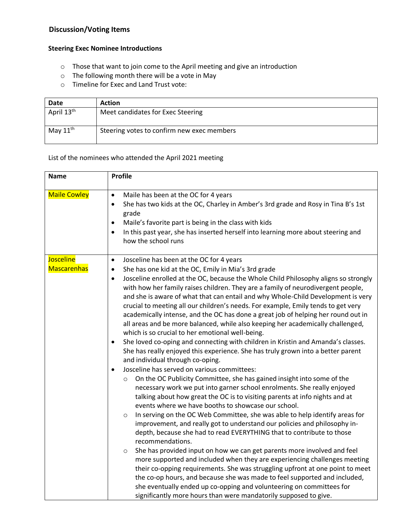# **Discussion/Voting Items**

### **Steering Exec Nominee Introductions**

- o Those that want to join come to the April meeting and give an introduction
- o The following month there will be a vote in May
- o Timeline for Exec and Land Trust vote:

| Date                   | <b>Action</b>                              |
|------------------------|--------------------------------------------|
| April 13 <sup>th</sup> | Meet candidates for Exec Steering          |
| May $11^{\text{th}}$   | Steering votes to confirm new exec members |

#### List of the nominees who attended the April 2021 meeting

| <b>Name</b>                            | <b>Profile</b>                                                                                                                                                                                                                                                                                                                                                                                                                                                                                                                                                                                                                                                                                                                                                                                                                                                                                                                                                                                                                                                                                                                                                                                                                                                                                                                                                                                                                                                                                                                                                                                                                                                                                                                                                                                                                                                                                                                                                                                                                                        |  |  |  |
|----------------------------------------|-------------------------------------------------------------------------------------------------------------------------------------------------------------------------------------------------------------------------------------------------------------------------------------------------------------------------------------------------------------------------------------------------------------------------------------------------------------------------------------------------------------------------------------------------------------------------------------------------------------------------------------------------------------------------------------------------------------------------------------------------------------------------------------------------------------------------------------------------------------------------------------------------------------------------------------------------------------------------------------------------------------------------------------------------------------------------------------------------------------------------------------------------------------------------------------------------------------------------------------------------------------------------------------------------------------------------------------------------------------------------------------------------------------------------------------------------------------------------------------------------------------------------------------------------------------------------------------------------------------------------------------------------------------------------------------------------------------------------------------------------------------------------------------------------------------------------------------------------------------------------------------------------------------------------------------------------------------------------------------------------------------------------------------------------------|--|--|--|
| <b>Maile Cowley</b>                    | Maile has been at the OC for 4 years<br>$\bullet$<br>She has two kids at the OC, Charley in Amber's 3rd grade and Rosy in Tina B's 1st<br>$\bullet$<br>grade<br>Maile's favorite part is being in the class with kids<br>٠<br>In this past year, she has inserted herself into learning more about steering and<br>٠<br>how the school runs                                                                                                                                                                                                                                                                                                                                                                                                                                                                                                                                                                                                                                                                                                                                                                                                                                                                                                                                                                                                                                                                                                                                                                                                                                                                                                                                                                                                                                                                                                                                                                                                                                                                                                           |  |  |  |
| <b>Josceline</b><br><b>Mascarenhas</b> | Josceline has been at the OC for 4 years<br>$\bullet$<br>She has one kid at the OC, Emily in Mia's 3rd grade<br>$\bullet$<br>Josceline enrolled at the OC, because the Whole Child Philosophy aligns so strongly<br>$\bullet$<br>with how her family raises children. They are a family of neurodivergent people,<br>and she is aware of what that can entail and why Whole-Child Development is very<br>crucial to meeting all our children's needs. For example, Emily tends to get very<br>academically intense, and the OC has done a great job of helping her round out in<br>all areas and be more balanced, while also keeping her academically challenged,<br>which is so crucial to her emotional well-being.<br>She loved co-oping and connecting with children in Kristin and Amanda's classes.<br>$\bullet$<br>She has really enjoyed this experience. She has truly grown into a better parent<br>and individual through co-oping.<br>Josceline has served on various committees:<br>On the OC Publicity Committee, she has gained insight into some of the<br>$\circ$<br>necessary work we put into garner school enrolments. She really enjoyed<br>talking about how great the OC is to visiting parents at info nights and at<br>events where we have booths to showcase our school.<br>In serving on the OC Web Committee, she was able to help identify areas for<br>$\circ$<br>improvement, and really got to understand our policies and philosophy in-<br>depth, because she had to read EVERYTHING that to contribute to those<br>recommendations.<br>She has provided input on how we can get parents more involved and feel<br>$\circ$<br>more supported and included when they are experiencing challenges meeting<br>their co-opping requirements. She was struggling upfront at one point to meet<br>the co-op hours, and because she was made to feel supported and included,<br>she eventually ended up co-opping and volunteering on committees for<br>significantly more hours than were mandatorily supposed to give. |  |  |  |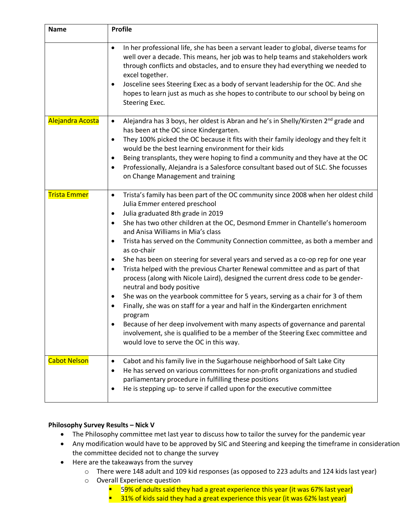| <b>Name</b>         | <b>Profile</b>                                                                                                                                                                                                                                                                                                                                                                                                                                                                                                                                                                                                                                                                                                                                                                                                                                                                                                                                                                                                                                                                                                                                          |
|---------------------|---------------------------------------------------------------------------------------------------------------------------------------------------------------------------------------------------------------------------------------------------------------------------------------------------------------------------------------------------------------------------------------------------------------------------------------------------------------------------------------------------------------------------------------------------------------------------------------------------------------------------------------------------------------------------------------------------------------------------------------------------------------------------------------------------------------------------------------------------------------------------------------------------------------------------------------------------------------------------------------------------------------------------------------------------------------------------------------------------------------------------------------------------------|
|                     | In her professional life, she has been a servant leader to global, diverse teams for<br>$\bullet$<br>well over a decade. This means, her job was to help teams and stakeholders work<br>through conflicts and obstacles, and to ensure they had everything we needed to<br>excel together.<br>Josceline sees Steering Exec as a body of servant leadership for the OC. And she<br>٠<br>hopes to learn just as much as she hopes to contribute to our school by being on<br>Steering Exec.                                                                                                                                                                                                                                                                                                                                                                                                                                                                                                                                                                                                                                                               |
| Alejandra Acosta    | Alejandra has 3 boys, her oldest is Abran and he's in Shelly/Kirsten 2 <sup>nd</sup> grade and<br>$\bullet$<br>has been at the OC since Kindergarten.<br>They 100% picked the OC because it fits with their family ideology and they felt it<br>٠<br>would be the best learning environment for their kids<br>Being transplants, they were hoping to find a community and they have at the OC<br>٠<br>Professionally, Alejandra is a Salesforce consultant based out of SLC. She focusses<br>٠<br>on Change Management and training                                                                                                                                                                                                                                                                                                                                                                                                                                                                                                                                                                                                                     |
| <b>Trista Emmer</b> | Trista's family has been part of the OC community since 2008 when her oldest child<br>$\bullet$<br>Julia Emmer entered preschool<br>Julia graduated 8th grade in 2019<br>$\bullet$<br>She has two other children at the OC, Desmond Emmer in Chantelle's homeroom<br>$\bullet$<br>and Anisa Williams in Mia's class<br>Trista has served on the Community Connection committee, as both a member and<br>$\bullet$<br>as co-chair<br>She has been on steering for several years and served as a co-op rep for one year<br>٠<br>Trista helped with the previous Charter Renewal committee and as part of that<br>$\bullet$<br>process (along with Nicole Laird), designed the current dress code to be gender-<br>neutral and body positive<br>She was on the yearbook committee for 5 years, serving as a chair for 3 of them<br>٠<br>Finally, she was on staff for a year and half in the Kindergarten enrichment<br>$\bullet$<br>program<br>Because of her deep involvement with many aspects of governance and parental<br>involvement, she is qualified to be a member of the Steering Exec committee and<br>would love to serve the OC in this way. |
| <b>Cabot Nelson</b> | Cabot and his family live in the Sugarhouse neighborhood of Salt Lake City<br>$\bullet$<br>He has served on various committees for non-profit organizations and studied<br>$\bullet$<br>parliamentary procedure in fulfilling these positions<br>He is stepping up- to serve if called upon for the executive committee<br>٠                                                                                                                                                                                                                                                                                                                                                                                                                                                                                                                                                                                                                                                                                                                                                                                                                            |

### **Philosophy Survey Results – Nick V**

- The Philosophy committee met last year to discuss how to tailor the survey for the pandemic year
- Any modification would have to be approved by SIC and Steering and keeping the timeframe in consideration the committee decided not to change the survey
- Here are the takeaways from the survey
	- o There were 148 adult and 109 kid responses (as opposed to 223 adults and 124 kids last year)
	- o Overall Experience question
		- $\blacksquare$  59% of adults said they had a great experience this year (it was 67% last year)
		- 31% of kids said they had a great experience this year (it was 62% last year)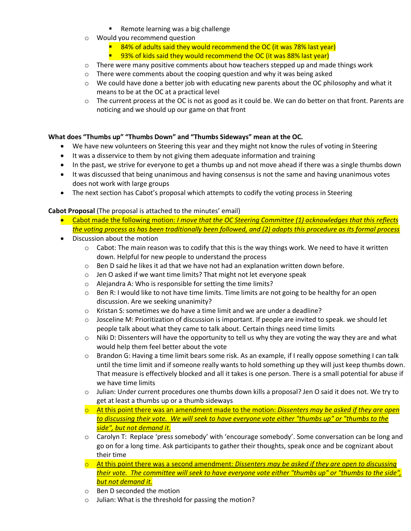- Remote learning was a big challenge
- o Would you recommend question
	- 84% of adults said they would recommend the OC (it was 78% last year)
	- $\blacksquare$  93% of kids said they would recommend the OC (it was 88% last year)
- $\circ$  There were many positive comments about how teachers stepped up and made things work
- o There were comments about the cooping question and why it was being asked
- $\circ$  We could have done a better job with educating new parents about the OC philosophy and what it means to be at the OC at a practical level
- $\circ$  The current process at the OC is not as good as it could be. We can do better on that front. Parents are noticing and we should up our game on that front

#### **What does "Thumbs up" "Thumbs Down" and "Thumbs Sideways" mean at the OC.**

- We have new volunteers on Steering this year and they might not know the rules of voting in Steering
- It was a disservice to them by not giving them adequate information and training
- In the past, we strive for everyone to get a thumbs up and not move ahead if there was a single thumbs down
- It was discussed that being unanimous and having consensus is not the same and having unanimous votes does not work with large groups
- The next section has Cabot's proposal which attempts to codify the voting process in Steering

#### **Cabot Proposal** (The proposal is attached to the minutes' email)

- Cabot made the following motion: *I move that the OC Steering Committee (1) acknowledges that this reflects the voting process as has been traditionally been followed, and (2) adopts this procedure as its formal process*
- Discussion about the motion
	- $\circ$  Cabot: The main reason was to codify that this is the way things work. We need to have it written down. Helpful for new people to understand the process
	- $\circ$  Ben D said he likes it ad that we have not had an explanation written down before.
	- o Jen O asked if we want time limits? That might not let everyone speak
	- o Alejandra A: Who is responsible for setting the time limits?
	- $\circ$  Ben R: I would like to not have time limits. Time limits are not going to be healthy for an open discussion. Are we seeking unanimity?
	- $\circ$  Kristan S: sometimes we do have a time limit and we are under a deadline?
	- $\circ$  Josceline M: Prioritization of discussion is important. If people are invited to speak. we should let people talk about what they came to talk about. Certain things need time limits
	- $\circ$  Niki D: Dissenters will have the opportunity to tell us why they are voting the way they are and what would help them feel better about the vote
	- o Brandon G: Having a time limit bears some risk. As an example, if I really oppose something I can talk until the time limit and if someone really wants to hold something up they will just keep thumbs down. That measure is effectively blocked and all it takes is one person. There is a small potential for abuse if we have time limits
	- o Julian: Under current procedures one thumbs down kills a proposal? Jen O said it does not. We try to get at least a thumbs up or a thumb sideways
	- o At this point there was an amendment made to the motion: *Dissenters may be asked if they are open to discussing their vote. We will seek to have everyone vote either "thumbs up" or "thumbs to the side", but not demand it.*
	- $\circ$  Carolyn T: Replace 'press somebody' with 'encourage somebody'. Some conversation can be long and go on for a long time. Ask participants to gather their thoughts, speak once and be cognizant about their time
	- o At this point there was a second amendment: *Dissenters may be asked if they are open to discussing their vote. The committee will seek to have everyone vote either "thumbs up" or "thumbs to the side", but not demand it.*
	- o Ben D seconded the motion
	- o Julian: What is the threshold for passing the motion?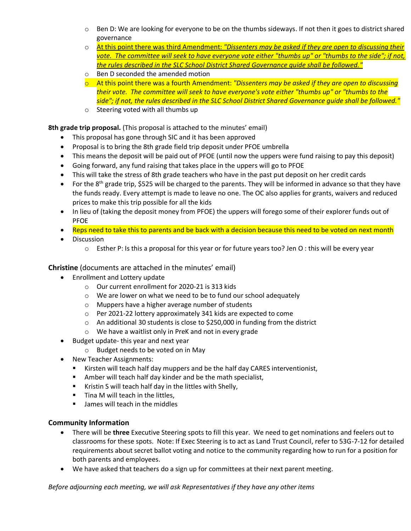- $\circ$  Ben D: We are looking for everyone to be on the thumbs sideways. If not then it goes to district shared governance
- o At this point there was third Amendment: *"Dissenters may be asked if they are open to discussing their vote. The committee will seek to have everyone vote either "thumbs up" or "thumbs to the side"; if not, the rules described in the SLC School District Shared Governance guide shall be followed."*
- o Ben D seconded the amended motion
- o At this point there was a fourth Amendment: *"Dissenters may be asked if they are open to discussing their vote. The committee will seek to have everyone's vote either "thumbs up" or "thumbs to the side"; if not, the rules described in the SLC School District Shared Governance guide shall be followed."*
- o Steering voted with all thumbs up

**8th grade trip proposal.** (This proposal is attached to the minutes' email)

- This proposal has gone through SIC and it has been approved
- Proposal is to bring the 8th grade field trip deposit under PFOE umbrella
- This means the deposit will be paid out of PFOE (until now the uppers were fund raising to pay this deposit)
- Going forward, any fund raising that takes place in the uppers will go to PFOE
- This will take the stress of 8th grade teachers who have in the past put deposit on her credit cards
- For the  $8<sup>th</sup>$  grade trip, \$525 will be charged to the parents. They will be informed in advance so that they have the funds ready. Every attempt is made to leave no one. The OC also applies for grants, waivers and reduced prices to make this trip possible for all the kids
- In lieu of (taking the deposit money from PFOE) the uppers will forego some of their explorer funds out of PFOE
- Reps need to take this to parents and be back with a decision because this need to be voted on next month
- Discussion
	- $\circ$  Esther P: Is this a proposal for this year or for future years too? Jen O : this will be every year

**Christine** (documents are attached in the minutes' email)

- Enrollment and Lottery update
	- o Our current enrollment for 2020-21 is 313 kids
	- o We are lower on what we need to be to fund our school adequately
	- o Muppers have a higher average number of students
	- o Per 2021-22 lottery approximately 341 kids are expected to come
	- o An additional 30 students is close to \$250,000 in funding from the district
	- o We have a waitlist only in PreK and not in every grade
- Budget update- this year and next year
	- o Budget needs to be voted on in May
- New Teacher Assignments:
	- Kirsten will teach half day muppers and be the half day CARES interventionist,
	- Amber will teach half day kinder and be the math specialist,
	- Kristin S will teach half day in the littles with Shelly,
	- Tina M will teach in the littles,
	- James will teach in the middles

### **Community Information**

- There will be **three** Executive Steering spots to fill this year. We need to get nominations and feelers out to classrooms for these spots. Note: If Exec Steering is to act as Land Trust Council, refer to 53G-7-12 for detailed requirements about secret ballot voting and notice to the community regarding how to run for a position for both parents and employees.
- We have asked that teachers do a sign up for committees at their next parent meeting.

*Before adjourning each meeting, we will ask Representatives if they have any other items*